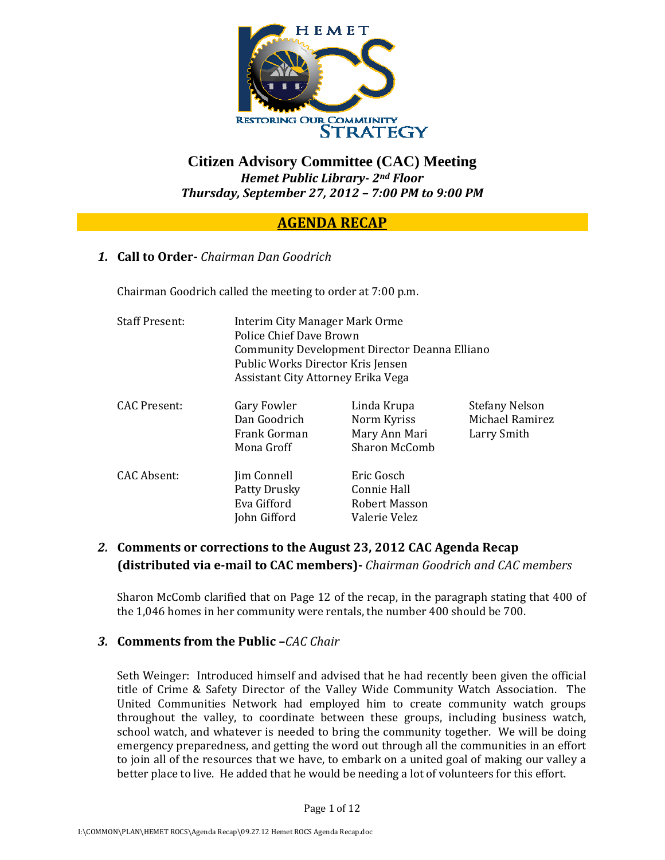

# **Citizen Advisory Committee (CAC) Meeting**  *Hemet Public Library 2nd Floor Thursday, September 27, 2012 – 7:00 PM to 9:00 PM*

# **AGENDA RECAP**

## *1.* **Call to Order** *Chairman Dan Goodrich*

Chairman Goodrich called the meeting to order at 7:00 p.m.

| <b>Staff Present:</b> | Interim City Manager Mark Orme<br>Police Chief Dave Brown<br>Community Development Director Deanna Elliano<br>Public Works Director Kris Jensen<br>Assistant City Attorney Erika Vega |                                                                     |                                                         |
|-----------------------|---------------------------------------------------------------------------------------------------------------------------------------------------------------------------------------|---------------------------------------------------------------------|---------------------------------------------------------|
| CAC Present:          | Gary Fowler<br>Dan Goodrich<br>Frank Gorman<br>Mona Groff                                                                                                                             | Linda Krupa<br>Norm Kyriss<br>Mary Ann Mari<br><b>Sharon McComb</b> | <b>Stefany Nelson</b><br>Michael Ramirez<br>Larry Smith |
| CAC Absent:           | Jim Connell<br>Patty Drusky<br>Eva Gifford<br>John Gifford                                                                                                                            | Eric Gosch<br><b>Connie Hall</b><br>Robert Masson<br>Valerie Velez  |                                                         |

## *2.* **Comments or corrections to the August 23, 2012 CAC Agenda Recap (distributed via email to CAC members)** *Chairman Goodrich and CAC members*

Sharon McComb clarified that on Page 12 of the recap, in the paragraph stating that 400 of the 1,046 homes in her community were rentals, the number 400 should be 700.

#### *3.* **Comments from the Public –***CAC Chair*

Seth Weinger: Introduced himself and advised that he had recently been given the official title of Crime & Safety Director of the Valley Wide Community Watch Association. The United Communities Network had employed him to create community watch groups throughout the valley, to coordinate between these groups, including business watch, school watch, and whatever is needed to bring the community together. We will be doing emergency preparedness, and getting the word out through all the communities in an effort to join all of the resources that we have, to embark on a united goal of making our valley a better place to live. He added that he would be needing a lot of volunteers for this effort.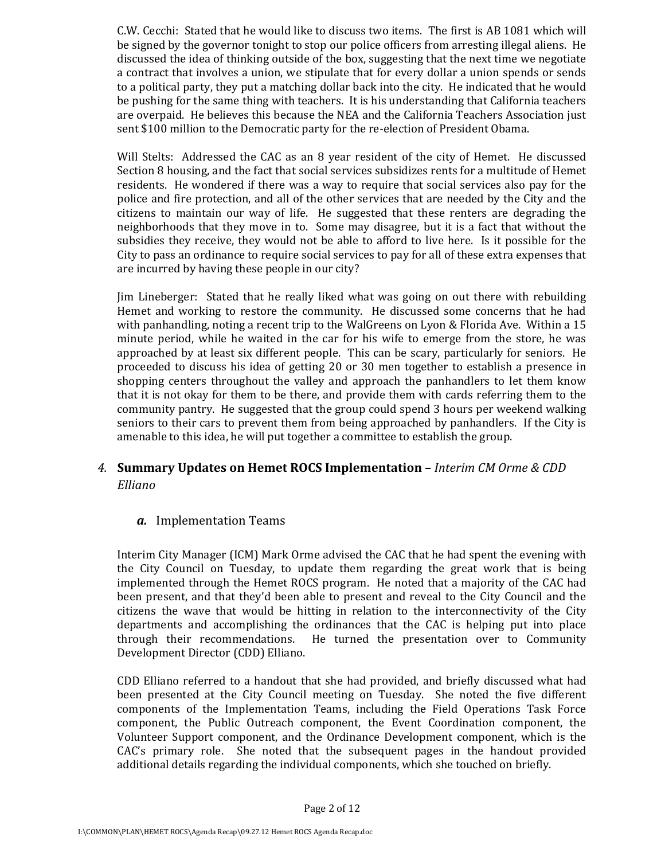C.W. Cecchi: Stated that he would like to discuss two items. The first is AB 1081 which will be signed by the governor tonight to stop our police officers from arresting illegal aliens. He discussed the idea of thinking outside of the box, suggesting that the next time we negotiate a contract that involves a union, we stipulate that for every dollar a union spends or sends to a political party, they put a matching dollar back into the city. He indicated that he would be pushing for the same thing with teachers. It is his understanding that California teachers are overpaid. He believes this because the NEA and the California Teachers Association just sent \$100 million to the Democratic party for the re-election of President Obama.

Will Stelts: Addressed the CAC as an 8 year resident of the city of Hemet. He discussed Section 8 housing, and the fact that social services subsidizes rents for a multitude of Hemet residents. He wondered if there was a way to require that social services also pay for the police and fire protection, and all of the other services that are needed by the City and the citizens to maintain our way of life. He suggested that these renters are degrading the neighborhoods that they move in to. Some may disagree, but it is a fact that without the subsidies they receive, they would not be able to afford to live here. Is it possible for the City to pass an ordinance to require social services to pay for all of these extra expenses that are incurred by having these people in our city?

Jim Lineberger: Stated that he really liked what was going on out there with rebuilding Hemet and working to restore the community. He discussed some concerns that he had with panhandling, noting a recent trip to the WalGreens on Lyon & Florida Ave. Within a 15 minute period, while he waited in the car for his wife to emerge from the store, he was approached by at least six different people. This can be scary, particularly for seniors. He proceeded to discuss his idea of getting 20 or 30 men together to establish a presence in shopping centers throughout the valley and approach the panhandlers to let them know that it is not okay for them to be there, and provide them with cards referring them to the community pantry. He suggested that the group could spend 3 hours per weekend walking seniors to their cars to prevent them from being approached by panhandlers. If the City is amenable to this idea, he will put together a committee to establish the group.

## *4.* **Summary Updates on Hemet ROCS Implementation –** *Interim CM Orme & CDD Elliano*

#### *a.* Implementation Teams

Interim City Manager (ICM) Mark Orme advised the CAC that he had spent the evening with the City Council on Tuesday, to update them regarding the great work that is being implemented through the Hemet ROCS program. He noted that a majority of the CAC had been present, and that they'd been able to present and reveal to the City Council and the citizens the wave that would be hitting in relation to the interconnectivity of the City departments and accomplishing the ordinances that the CAC is helping put into place through their recommendations. He turned the presentation over to Community Development Director (CDD) Elliano.

CDD Elliano referred to a handout that she had provided, and briefly discussed what had been presented at the City Council meeting on Tuesday. She noted the five different components of the Implementation Teams, including the Field Operations Task Force component, the Public Outreach component, the Event Coordination component, the Volunteer Support component, and the Ordinance Development component, which is the CAC's primary role. She noted that the subsequent pages in the handout provided additional details regarding the individual components, which she touched on briefly.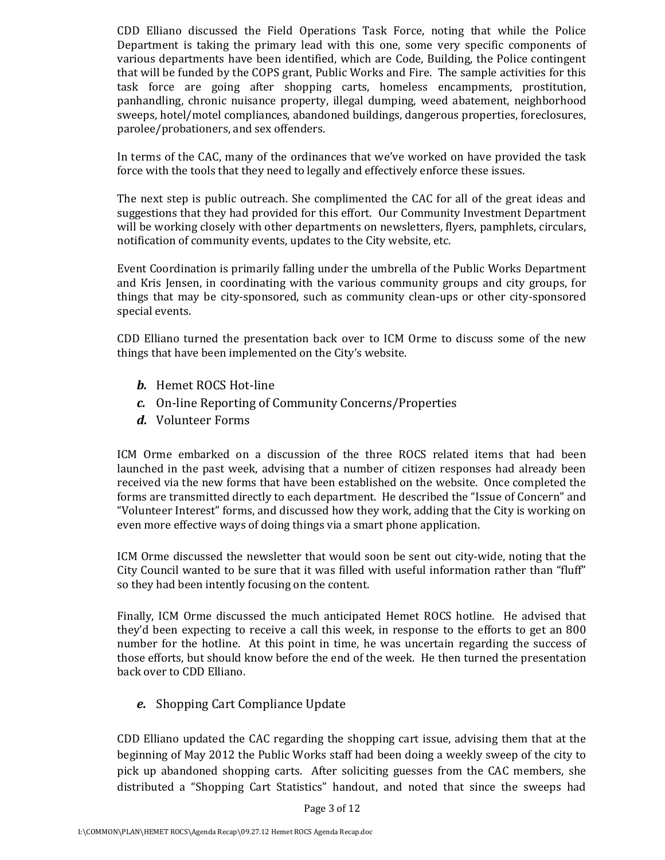CDD Elliano discussed the Field Operations Task Force, noting that while the Police Department is taking the primary lead with this one, some very specific components of various departments have been identified, which are Code, Building, the Police contingent that will be funded by the COPS grant, Public Works and Fire. The sample activities for this task force are going after shopping carts, homeless encampments, prostitution, panhandling, chronic nuisance property, illegal dumping, weed abatement, neighborhood sweeps, hotel/motel compliances, abandoned buildings, dangerous properties, foreclosures, parolee/probationers, and sex offenders.

In terms of the CAC, many of the ordinances that we've worked on have provided the task force with the tools that they need to legally and effectively enforce these issues.

The next step is public outreach. She complimented the CAC for all of the great ideas and suggestions that they had provided for this effort. Our Community Investment Department will be working closely with other departments on newsletters, flyers, pamphlets, circulars, notification of community events, updates to the City website, etc.

Event Coordination is primarily falling under the umbrella of the Public Works Department and Kris Jensen, in coordinating with the various community groups and city groups, for things that may be city‐sponsored, such as community clean‐ups or other city‐sponsored special events.

CDD Elliano turned the presentation back over to ICM Orme to discuss some of the new things that have been implemented on the City's website.

- *b.* Hemet ROCS Hot‐line
- *c.* On‐line Reporting of Community Concerns/Properties
- *d.* Volunteer Forms

ICM Orme embarked on a discussion of the three ROCS related items that had been launched in the past week, advising that a number of citizen responses had already been received via the new forms that have been established on the website. Once completed the forms are transmitted directly to each department. He described the "Issue of Concern" and "Volunteer Interest" forms, and discussed how they work, adding that the City is working on even more effective ways of doing things via a smart phone application.

ICM Orme discussed the newsletter that would soon be sent out city-wide, noting that the City Council wanted to be sure that it was filled with useful information rather than "fluff" so they had been intently focusing on the content.

Finally, ICM Orme discussed the much anticipated Hemet ROCS hotline. He advised that they'd been expecting to receive a call this week, in response to the efforts to get an 800 number for the hotline. At this point in time, he was uncertain regarding the success of those efforts, but should know before the end of the week. He then turned the presentation back over to CDD Elliano.

*e.* Shopping Cart Compliance Update

CDD Elliano updated the CAC regarding the shopping cart issue, advising them that at the beginning of May 2012 the Public Works staff had been doing a weekly sweep of the city to pick up abandoned shopping carts. After soliciting guesses from the CAC members, she distributed a "Shopping Cart Statistics" handout, and noted that since the sweeps had

Page 3 of 12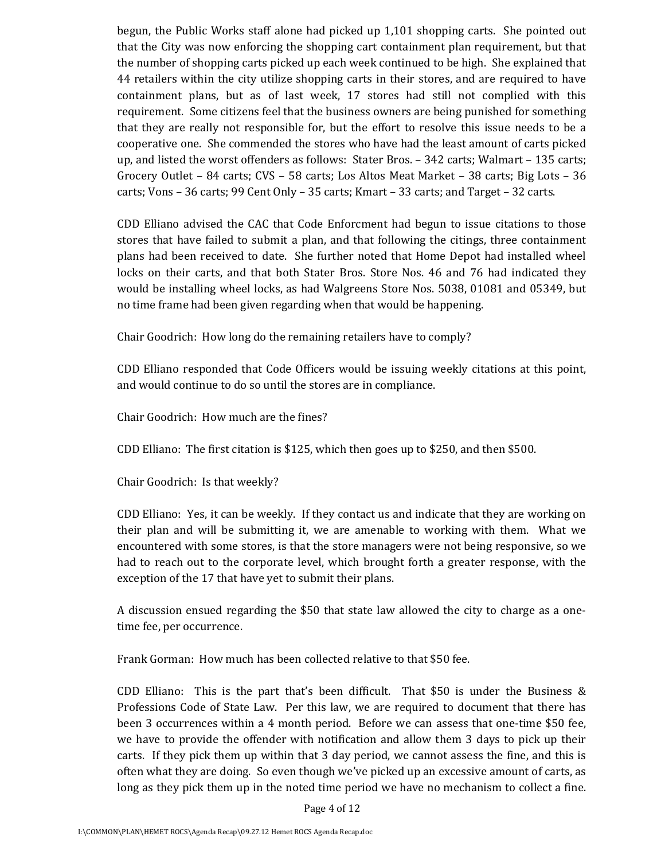begun, the Public Works staff alone had picked up 1,101 shopping carts. She pointed out that the City was now enforcing the shopping cart containment plan requirement, but that the number of shopping carts picked up each week continued to be high. She explained that 44 retailers within the city utilize shopping carts in their stores, and are required to have containment plans, but as of last week, 17 stores had still not complied with this requirement. Some citizens feel that the business owners are being punished for something that they are really not responsible for, but the effort to resolve this issue needs to be a cooperative one. She commended the stores who have had the least amount of carts picked up, and listed the worst offenders as follows: Stater Bros. – 342 carts; Walmart – 135 carts; Grocery Outlet – 84 carts; CVS – 58 carts; Los Altos Meat Market – 38 carts; Big Lots – 36 carts; Vons – 36 carts; 99 Cent Only – 35 carts; Kmart – 33 carts; and Target – 32 carts.

CDD Elliano advised the CAC that Code Enforcment had begun to issue citations to those stores that have failed to submit a plan, and that following the citings, three containment plans had been received to date. She further noted that Home Depot had installed wheel locks on their carts, and that both Stater Bros. Store Nos. 46 and 76 had indicated they would be installing wheel locks, as had Walgreens Store Nos. 5038, 01081 and 05349, but no time frame had been given regarding when that would be happening.

Chair Goodrich: How long do the remaining retailers have to comply?

CDD Elliano responded that Code Officers would be issuing weekly citations at this point, and would continue to do so until the stores are in compliance.

Chair Goodrich: How much are the fines?

CDD Elliano: The first citation is \$125, which then goes up to \$250, and then \$500.

Chair Goodrich: Is that weekly?

CDD Elliano: Yes, it can be weekly. If they contact us and indicate that they are working on their plan and will be submitting it, we are amenable to working with them. What we encountered with some stores, is that the store managers were not being responsive, so we had to reach out to the corporate level, which brought forth a greater response, with the exception of the 17 that have yet to submit their plans.

A discussion ensued regarding the \$50 that state law allowed the city to charge as a onetime fee, per occurrence.

Frank Gorman: How much has been collected relative to that \$50 fee.

CDD Elliano: This is the part that's been difficult. That  $$50$  is under the Business & Professions Code of State Law. Per this law, we are required to document that there has been 3 occurrences within a 4 month period. Before we can assess that one-time \$50 fee, we have to provide the offender with notification and allow them 3 days to pick up their carts. If they pick them up within that 3 day period, we cannot assess the fine, and this is often what they are doing. So even though we've picked up an excessive amount of carts, as long as they pick them up in the noted time period we have no mechanism to collect a fine.

Page 4 of 12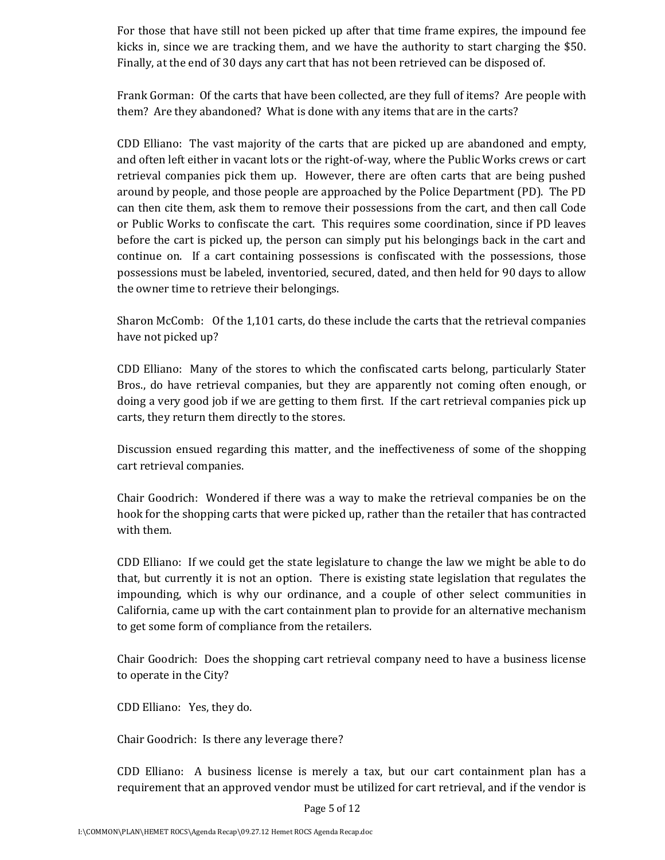For those that have still not been picked up after that time frame expires, the impound fee kicks in, since we are tracking them, and we have the authority to start charging the \$50. Finally, at the end of 30 days any cart that has not been retrieved can be disposed of.

Frank Gorman: Of the carts that have been collected, are they full of items? Are people with them? Are they abandoned? What is done with any items that are in the carts?

CDD Elliano: The vast majority of the carts that are picked up are abandoned and empty, and often left either in vacant lots or the right‐of‐way, where the Public Works crews or cart retrieval companies pick them up. However, there are often carts that are being pushed around by people, and those people are approached by the Police Department (PD). The PD can then cite them, ask them to remove their possessions from the cart, and then call Code or Public Works to confiscate the cart. This requires some coordination, since if PD leaves before the cart is picked up, the person can simply put his belongings back in the cart and continue on. If a cart containing possessions is confiscated with the possessions, those possessions must be labeled, inventoried, secured, dated, and then held for 90 days to allow the owner time to retrieve their belongings.

Sharon McComb: Of the 1,101 carts, do these include the carts that the retrieval companies have not picked up?

CDD Elliano: Many of the stores to which the confiscated carts belong, particularly Stater Bros., do have retrieval companies, but they are apparently not coming often enough, or doing a very good job if we are getting to them first. If the cart retrieval companies pick up carts, they return them directly to the stores.

Discussion ensued regarding this matter, and the ineffectiveness of some of the shopping cart retrieval companies.

Chair Goodrich: Wondered if there was a way to make the retrieval companies be on the hook for the shopping carts that were picked up, rather than the retailer that has contracted with them.

CDD Elliano: If we could get the state legislature to change the law we might be able to do that, but currently it is not an option. There is existing state legislation that regulates the impounding, which is why our ordinance, and a couple of other select communities in California, came up with the cart containment plan to provide for an alternative mechanism to get some form of compliance from the retailers.

Chair Goodrich: Does the shopping cart retrieval company need to have a business license to operate in the City?

CDD Elliano: Yes, they do.

Chair Goodrich: Is there any leverage there?

CDD Elliano: A business license is merely a tax, but our cart containment plan has a requirement that an approved vendor must be utilized for cart retrieval, and if the vendor is

Page 5 of 12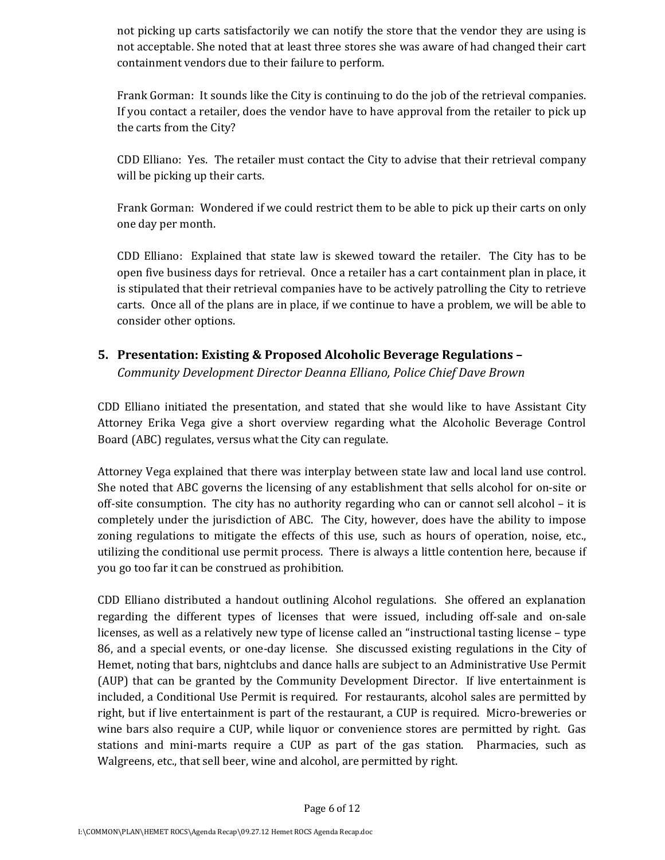not picking up carts satisfactorily we can notify the store that the vendor they are using is not acceptable. She noted that at least three stores she was aware of had changed their cart containment vendors due to their failure to perform.

Frank Gorman: It sounds like the City is continuing to do the job of the retrieval companies. If you contact a retailer, does the vendor have to have approval from the retailer to pick up the carts from the City?

CDD Elliano: Yes. The retailer must contact the City to advise that their retrieval company will be picking up their carts.

Frank Gorman: Wondered if we could restrict them to be able to pick up their carts on only one day per month.

CDD Elliano: Explained that state law is skewed toward the retailer. The City has to be open five business days for retrieval. Once a retailer has a cart containment plan in place, it is stipulated that their retrieval companies have to be actively patrolling the City to retrieve carts. Once all of the plans are in place, if we continue to have a problem, we will be able to consider other options.

## **5. Presentation: Existing & Proposed Alcoholic Beverage Regulations –**

*Community Development Director Deanna Elliano, Police Chief Dave Brown*

CDD Elliano initiated the presentation, and stated that she would like to have Assistant City Attorney Erika Vega give a short overview regarding what the Alcoholic Beverage Control Board (ABC) regulates, versus what the City can regulate.

Attorney Vega explained that there was interplay between state law and local land use control. She noted that ABC governs the licensing of any establishment that sells alcohol for on‐site or off-site consumption. The city has no authority regarding who can or cannot sell alcohol – it is completely under the jurisdiction of ABC. The City, however, does have the ability to impose zoning regulations to mitigate the effects of this use, such as hours of operation, noise, etc., utilizing the conditional use permit process. There is always a little contention here, because if you go too far it can be construed as prohibition.

CDD Elliano distributed a handout outlining Alcohol regulations. She offered an explanation regarding the different types of licenses that were issued, including off‐sale and on‐sale licenses, as well as a relatively new type of license called an "instructional tasting license – type 86, and a special events, or one-day license. She discussed existing regulations in the City of Hemet, noting that bars, nightclubs and dance halls are subject to an Administrative Use Permit (AUP) that can be granted by the Community Development Director. If live entertainment is included, a Conditional Use Permit is required. For restaurants, alcohol sales are permitted by right, but if live entertainment is part of the restaurant, a CUP is required. Micro‐breweries or wine bars also require a CUP, while liquor or convenience stores are permitted by right. Gas stations and mini-marts require a CUP as part of the gas station. Pharmacies, such as Walgreens, etc., that sell beer, wine and alcohol, are permitted by right.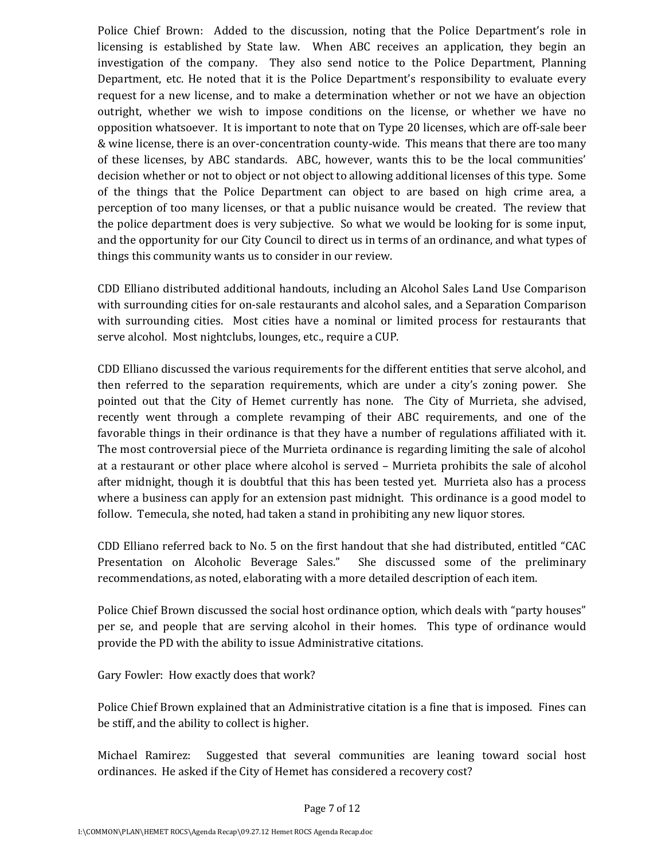Police Chief Brown: Added to the discussion, noting that the Police Department's role in licensing is established by State law. When ABC receives an application, they begin an investigation of the company. They also send notice to the Police Department, Planning Department, etc. He noted that it is the Police Department's responsibility to evaluate every request for a new license, and to make a determination whether or not we have an objection outright, whether we wish to impose conditions on the license, or whether we have no opposition whatsoever. It is important to note that on Type 20 licenses, which are off‐sale beer & wine license, there is an over‐concentration county‐wide. This means that there are too many of these licenses, by ABC standards. ABC, however, wants this to be the local communities' decision whether or not to object or not object to allowing additional licenses of this type. Some of the things that the Police Department can object to are based on high crime area, a perception of too many licenses, or that a public nuisance would be created. The review that the police department does is very subjective. So what we would be looking for is some input, and the opportunity for our City Council to direct us in terms of an ordinance, and what types of things this community wants us to consider in our review.

CDD Elliano distributed additional handouts, including an Alcohol Sales Land Use Comparison with surrounding cities for on-sale restaurants and alcohol sales, and a Separation Comparison with surrounding cities. Most cities have a nominal or limited process for restaurants that serve alcohol. Most nightclubs, lounges, etc., require a CUP.

CDD Elliano discussed the various requirements for the different entities that serve alcohol, and then referred to the separation requirements, which are under a city's zoning power. She pointed out that the City of Hemet currently has none. The City of Murrieta, she advised, recently went through a complete revamping of their ABC requirements, and one of the favorable things in their ordinance is that they have a number of regulations affiliated with it. The most controversial piece of the Murrieta ordinance is regarding limiting the sale of alcohol at a restaurant or other place where alcohol is served – Murrieta prohibits the sale of alcohol after midnight, though it is doubtful that this has been tested yet. Murrieta also has a process where a business can apply for an extension past midnight. This ordinance is a good model to follow. Temecula, she noted, had taken a stand in prohibiting any new liquor stores.

CDD Elliano referred back to No. 5 on the first handout that she had distributed, entitled "CAC Presentation on Alcoholic Beverage Sales." She discussed some of the preliminary recommendations, as noted, elaborating with a more detailed description of each item.

Police Chief Brown discussed the social host ordinance option, which deals with "party houses" per se, and people that are serving alcohol in their homes. This type of ordinance would provide the PD with the ability to issue Administrative citations.

Gary Fowler: How exactly does that work?

Police Chief Brown explained that an Administrative citation is a fine that is imposed. Fines can be stiff, and the ability to collect is higher.

Michael Ramirez: Suggested that several communities are leaning toward social host ordinances. He asked if the City of Hemet has considered a recovery cost?

Page 7 of 12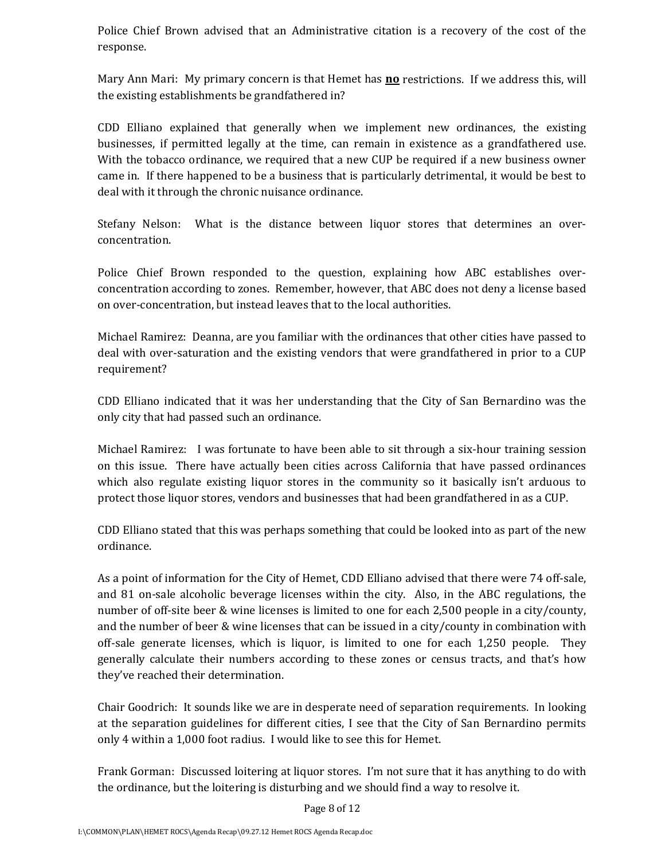Police Chief Brown advised that an Administrative citation is a recovery of the cost of the response.

Mary Ann Mari: My primary concern is that Hemet has **no** restrictions. If we address this, will the existing establishments be grandfathered in?

CDD Elliano explained that generally when we implement new ordinances, the existing businesses, if permitted legally at the time, can remain in existence as a grandfathered use. With the tobacco ordinance, we required that a new CUP be required if a new business owner came in. If there happened to be a business that is particularly detrimental, it would be best to deal with it through the chronic nuisance ordinance.

Stefany Nelson: What is the distance between liquor stores that determines an overconcentration.

Police Chief Brown responded to the question, explaining how ABC establishes overconcentration according to zones. Remember, however, that ABC does not deny a license based on over‐concentration, but instead leaves that to the local authorities.

Michael Ramirez: Deanna, are you familiar with the ordinances that other cities have passed to deal with over-saturation and the existing vendors that were grandfathered in prior to a CUP requirement?

CDD Elliano indicated that it was her understanding that the City of San Bernardino was the only city that had passed such an ordinance.

Michael Ramirez: I was fortunate to have been able to sit through a six‐hour training session on this issue. There have actually been cities across California that have passed ordinances which also regulate existing liquor stores in the community so it basically isn't arduous to protect those liquor stores, vendors and businesses that had been grandfathered in as a CUP.

CDD Elliano stated that this was perhaps something that could be looked into as part of the new ordinance.

As a point of information for the City of Hemet, CDD Elliano advised that there were 74 off‐sale, and 81 on-sale alcoholic beverage licenses within the city. Also, in the ABC regulations, the number of off‐site beer & wine licenses is limited to one for each 2,500 people in a city/county, and the number of beer & wine licenses that can be issued in a city/county in combination with off-sale generate licenses, which is liquor, is limited to one for each 1,250 people. They generally calculate their numbers according to these zones or census tracts, and that's how they've reached their determination.

Chair Goodrich: It sounds like we are in desperate need of separation requirements. In looking at the separation guidelines for different cities, I see that the City of San Bernardino permits only 4 within a 1,000 foot radius. I would like to see this for Hemet.

Frank Gorman: Discussed loitering at liquor stores. I'm not sure that it has anything to do with the ordinance, but the loitering is disturbing and we should find a way to resolve it.

Page 8 of 12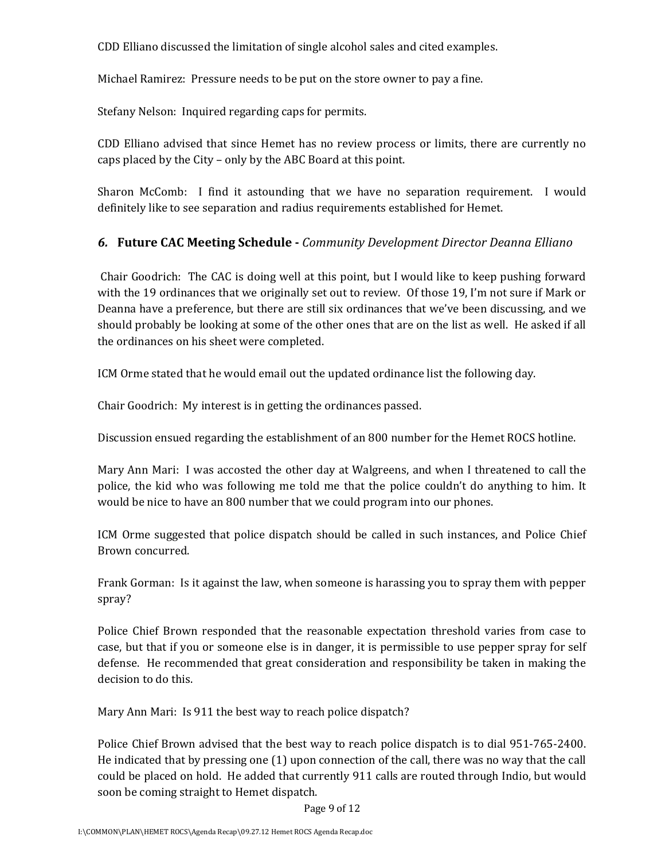CDD Elliano discussed the limitation of single alcohol sales and cited examples.

Michael Ramirez: Pressure needs to be put on the store owner to pay a fine.

Stefany Nelson: Inquired regarding caps for permits.

CDD Elliano advised that since Hemet has no review process or limits, there are currently no caps placed by the City – only by the ABC Board at this point.

Sharon McComb: I find it astounding that we have no separation requirement. I would definitely like to see separation and radius requirements established for Hemet.

## *6.* **Future CAC Meeting Schedule** *Community Development Director Deanna Elliano*

Chair Goodrich: The CAC is doing well at this point, but I would like to keep pushing forward with the 19 ordinances that we originally set out to review. Of those 19, I'm not sure if Mark or Deanna have a preference, but there are still six ordinances that we've been discussing, and we should probably be looking at some of the other ones that are on the list as well. He asked if all the ordinances on his sheet were completed.

ICM Orme stated that he would email out the updated ordinance list the following day.

Chair Goodrich: My interest is in getting the ordinances passed.

Discussion ensued regarding the establishment of an 800 number for the Hemet ROCS hotline.

Mary Ann Mari: I was accosted the other day at Walgreens, and when I threatened to call the police, the kid who was following me told me that the police couldn't do anything to him. It would be nice to have an 800 number that we could program into our phones.

ICM Orme suggested that police dispatch should be called in such instances, and Police Chief Brown concurred.

Frank Gorman: Is it against the law, when someone is harassing you to spray them with pepper spray?

Police Chief Brown responded that the reasonable expectation threshold varies from case to case, but that if you or someone else is in danger, it is permissible to use pepper spray for self defense. He recommended that great consideration and responsibility be taken in making the decision to do this.

Mary Ann Mari: Is 911 the best way to reach police dispatch?

Police Chief Brown advised that the best way to reach police dispatch is to dial 951‐765‐2400. He indicated that by pressing one (1) upon connection of the call, there was no way that the call could be placed on hold. He added that currently 911 calls are routed through Indio, but would soon be coming straight to Hemet dispatch.

Page 9 of 12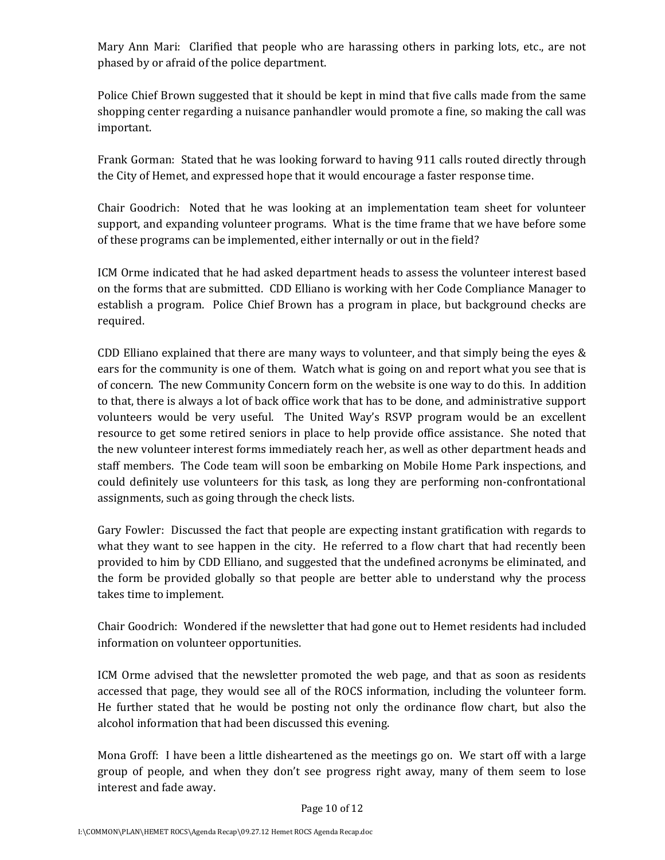Mary Ann Mari: Clarified that people who are harassing others in parking lots, etc., are not phased by or afraid of the police department.

Police Chief Brown suggested that it should be kept in mind that five calls made from the same shopping center regarding a nuisance panhandler would promote a fine, so making the call was important.

Frank Gorman: Stated that he was looking forward to having 911 calls routed directly through the City of Hemet, and expressed hope that it would encourage a faster response time.

Chair Goodrich: Noted that he was looking at an implementation team sheet for volunteer support, and expanding volunteer programs. What is the time frame that we have before some of these programs can be implemented, either internally or out in the field?

ICM Orme indicated that he had asked department heads to assess the volunteer interest based on the forms that are submitted. CDD Elliano is working with her Code Compliance Manager to establish a program. Police Chief Brown has a program in place, but background checks are required.

CDD Elliano explained that there are many ways to volunteer, and that simply being the eyes  $\&$ ears for the community is one of them. Watch what is going on and report what you see that is of concern. The new Community Concern form on the website is one way to do this. In addition to that, there is always a lot of back office work that has to be done, and administrative support volunteers would be very useful. The United Way's RSVP program would be an excellent resource to get some retired seniors in place to help provide office assistance. She noted that the new volunteer interest forms immediately reach her, as well as other department heads and staff members. The Code team will soon be embarking on Mobile Home Park inspections, and could definitely use volunteers for this task, as long they are performing non‐confrontational assignments, such as going through the check lists.

Gary Fowler: Discussed the fact that people are expecting instant gratification with regards to what they want to see happen in the city. He referred to a flow chart that had recently been provided to him by CDD Elliano, and suggested that the undefined acronyms be eliminated, and the form be provided globally so that people are better able to understand why the process takes time to implement.

Chair Goodrich: Wondered if the newsletter that had gone out to Hemet residents had included information on volunteer opportunities.

ICM Orme advised that the newsletter promoted the web page, and that as soon as residents accessed that page, they would see all of the ROCS information, including the volunteer form. He further stated that he would be posting not only the ordinance flow chart, but also the alcohol information that had been discussed this evening.

Mona Groff: I have been a little disheartened as the meetings go on. We start off with a large group of people, and when they don't see progress right away, many of them seem to lose interest and fade away.

Page 10 of 12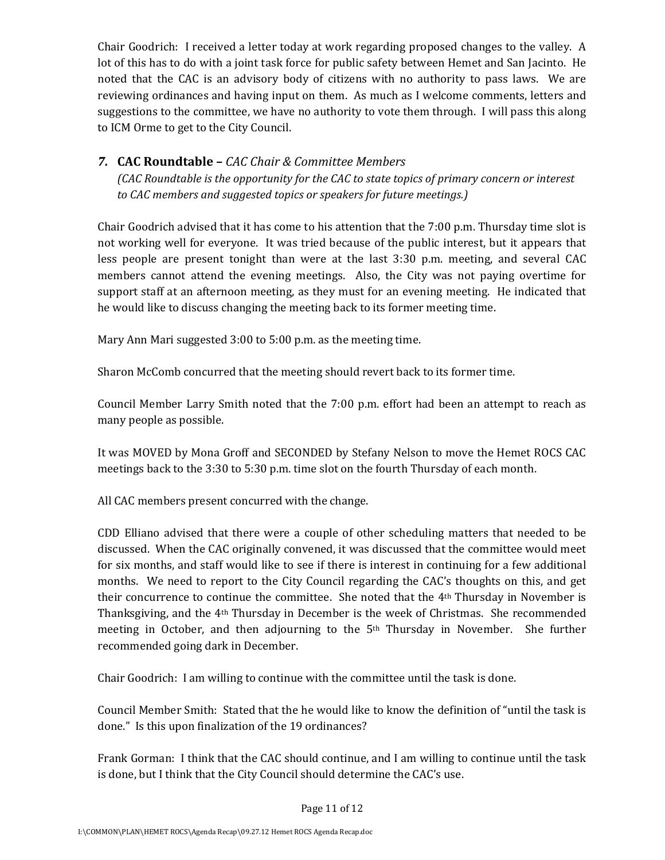Chair Goodrich: I received a letter today at work regarding proposed changes to the valley. A lot of this has to do with a joint task force for public safety between Hemet and San Jacinto. He noted that the CAC is an advisory body of citizens with no authority to pass laws. We are reviewing ordinances and having input on them. As much as I welcome comments, letters and suggestions to the committee, we have no authority to vote them through. I will pass this along to ICM Orme to get to the City Council.

### *7.* **CAC Roundtable –** *CAC Chair & Committee Members*

*(CAC Roundtable is the opportunity for the CAC to state topics of primary concern or interest to CAC members and suggested topics or speakers for future meetings.)*

Chair Goodrich advised that it has come to his attention that the 7:00 p.m. Thursday time slot is not working well for everyone. It was tried because of the public interest, but it appears that less people are present tonight than were at the last 3:30 p.m. meeting, and several CAC members cannot attend the evening meetings. Also, the City was not paying overtime for support staff at an afternoon meeting, as they must for an evening meeting. He indicated that he would like to discuss changing the meeting back to its former meeting time.

Mary Ann Mari suggested 3:00 to 5:00 p.m. as the meeting time.

Sharon McComb concurred that the meeting should revert back to its former time.

Council Member Larry Smith noted that the 7:00 p.m. effort had been an attempt to reach as many people as possible.

It was MOVED by Mona Groff and SECONDED by Stefany Nelson to move the Hemet ROCS CAC meetings back to the 3:30 to 5:30 p.m. time slot on the fourth Thursday of each month.

All CAC members present concurred with the change.

CDD Elliano advised that there were a couple of other scheduling matters that needed to be discussed. When the CAC originally convened, it was discussed that the committee would meet for six months, and staff would like to see if there is interest in continuing for a few additional months. We need to report to the City Council regarding the CAC's thoughts on this, and get their concurrence to continue the committee. She noted that the 4th Thursday in November is Thanksgiving, and the 4th Thursday in December is the week of Christmas. She recommended meeting in October, and then adjourning to the 5<sup>th</sup> Thursday in November. She further recommended going dark in December.

Chair Goodrich: I am willing to continue with the committee until the task is done.

Council Member Smith: Stated that the he would like to know the definition of "until the task is done." Is this upon finalization of the 19 ordinances?

Frank Gorman: I think that the CAC should continue, and I am willing to continue until the task is done, but I think that the City Council should determine the CAC's use.

Page 11 of 12